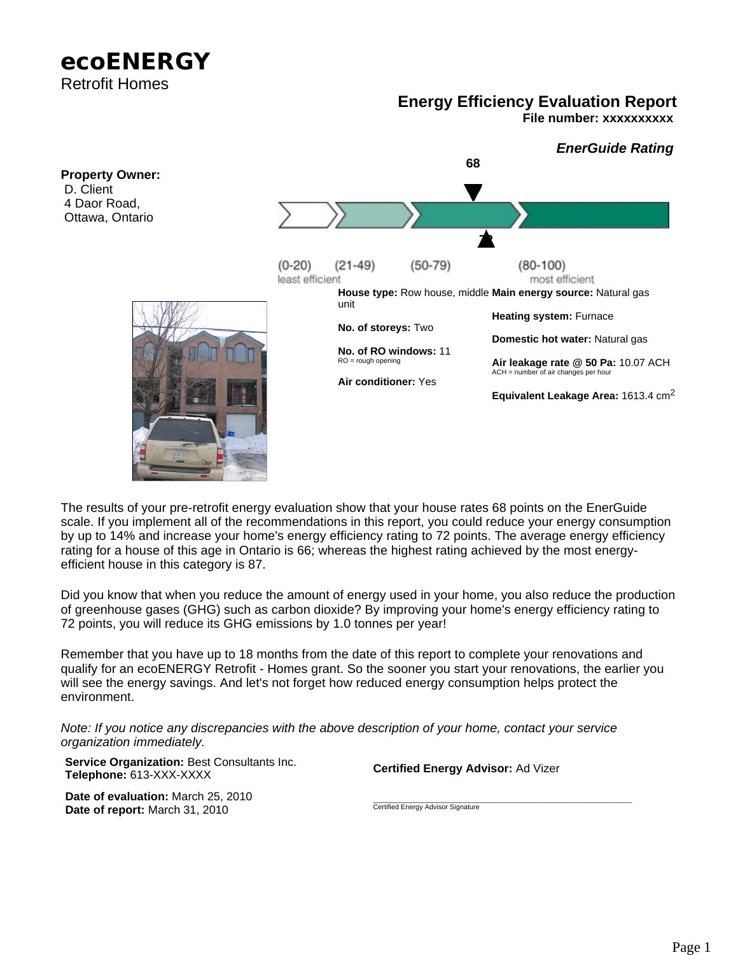# **ecoENERGY**  Retrofit Homes

# **Energy Efficiency Evaluation Report**

**File number: xxxxxxxxxx**



The results of your pre-retrofit energy evaluation show that your house rates 68 points on the EnerGuide scale. If you implement all of the recommendations in this report, you could reduce your energy consumption by up to 14% and increase your home's energy efficiency rating to 72 points. The average energy efficiency rating for a house of this age in Ontario is 66; whereas the highest rating achieved by the most energyefficient house in this category is 87.

Did you know that when you reduce the amount of energy used in your home, you also reduce the production of greenhouse gases (GHG) such as carbon dioxide? By improving your home's energy efficiency rating to 72 points, you will reduce its GHG emissions by 1.0 tonnes per year!

Remember that you have up to 18 months from the date of this report to complete your renovations and qualify for an ecoENERGY Retrofit - Homes grant. So the sooner you start your renovations, the earlier you will see the energy savings. And let's not forget how reduced energy consumption helps protect the environment.

*Note: If you notice any discrepancies with the above description of your home, contact your service organization immediately.*

**Service Organization:** Best Consultants Inc.

**Date of evaluation:** March 25, 2010 **Date of report:** March 31, 2010

**Certified Energy Advisor:** Ad Vizer

\_\_\_\_\_\_\_\_\_\_\_\_\_\_\_\_\_\_\_\_\_\_\_\_\_\_\_\_\_\_\_\_\_\_\_\_\_\_\_\_\_\_\_\_\_\_\_\_\_\_\_\_\_\_\_\_\_\_\_\_\_\_\_\_\_\_\_ Certified Energy Advisor Signature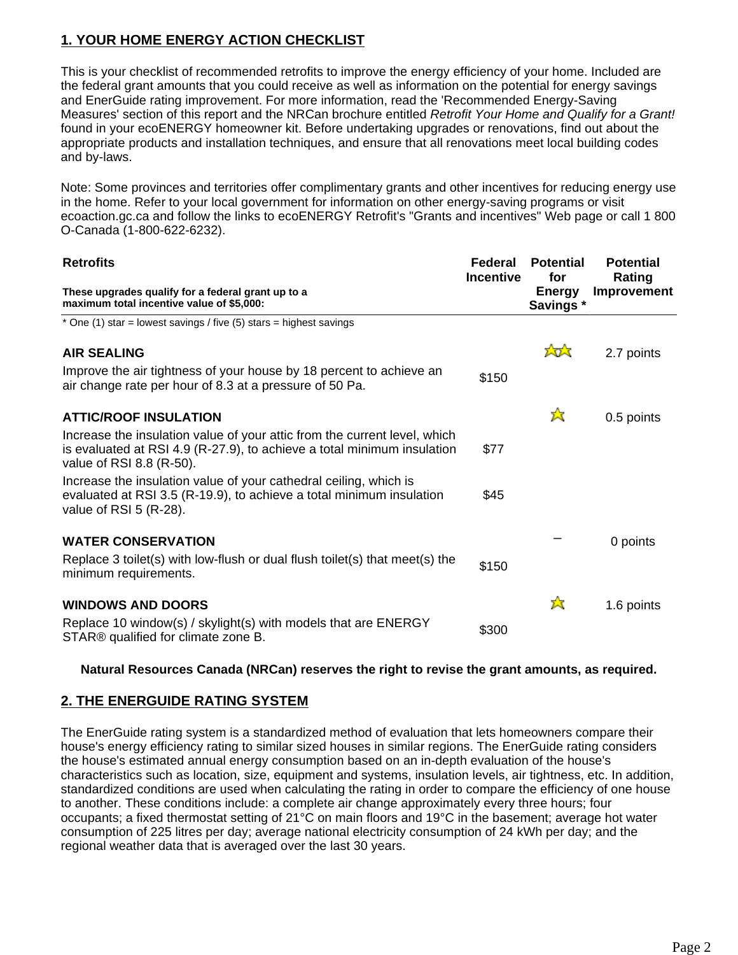# **1. YOUR HOME ENERGY ACTION CHECKLIST**

This is your checklist of recommended retrofits to improve the energy efficiency of your home. Included are the federal grant amounts that you could receive as well as information on the potential for energy savings and EnerGuide rating improvement. For more information, read the 'Recommended Energy-Saving Measures' section of this report and the NRCan brochure entitled *Retrofit Your Home and Qualify for a Grant!* found in your ecoENERGY homeowner kit. Before undertaking upgrades or renovations, find out about the appropriate products and installation techniques, and ensure that all renovations meet local building codes and by-laws.

Note: Some provinces and territories offer complimentary grants and other incentives for reducing energy use in the home. Refer to your local government for information on other energy-saving programs or visit ecoaction.gc.ca and follow the links to ecoENERGY Retrofit's "Grants and incentives" Web page or call 1 800 O-Canada (1-800-622-6232).

| <b>Retrofits</b><br>These upgrades qualify for a federal grant up to a<br>maximum total incentive value of \$5,000:                                                              | Federal<br><b>Incentive</b> | <b>Potential</b><br>for<br><b>Energy</b><br>Savings* | <b>Potential</b><br>Rating<br><b>Improvement</b> |
|----------------------------------------------------------------------------------------------------------------------------------------------------------------------------------|-----------------------------|------------------------------------------------------|--------------------------------------------------|
|                                                                                                                                                                                  |                             |                                                      |                                                  |
| <b>AIR SEALING</b>                                                                                                                                                               |                             | tot                                                  | 2.7 points                                       |
| Improve the air tightness of your house by 18 percent to achieve an<br>air change rate per hour of 8.3 at a pressure of 50 Pa.                                                   | \$150                       |                                                      |                                                  |
| <b>ATTIC/ROOF INSULATION</b>                                                                                                                                                     |                             | ☆                                                    | 0.5 points                                       |
| Increase the insulation value of your attic from the current level, which<br>is evaluated at RSI 4.9 (R-27.9), to achieve a total minimum insulation<br>value of RSI 8.8 (R-50). | \$77                        |                                                      |                                                  |
| Increase the insulation value of your cathedral ceiling, which is<br>evaluated at RSI 3.5 (R-19.9), to achieve a total minimum insulation<br>value of RSI $5$ (R-28).            | \$45                        |                                                      |                                                  |
| <b>WATER CONSERVATION</b>                                                                                                                                                        |                             |                                                      | 0 points                                         |
| Replace 3 toilet(s) with low-flush or dual flush toilet(s) that meet(s) the<br>minimum requirements.                                                                             | \$150                       |                                                      |                                                  |
| <b>WINDOWS AND DOORS</b>                                                                                                                                                         |                             | 公                                                    | 1.6 points                                       |
| Replace 10 window(s) / skylight(s) with models that are ENERGY<br>STAR <sup>®</sup> qualified for climate zone B.                                                                | \$300                       |                                                      |                                                  |

# **Natural Resources Canada (NRCan) reserves the right to revise the grant amounts, as required.**

# **2. THE ENERGUIDE RATING SYSTEM**

The EnerGuide rating system is a standardized method of evaluation that lets homeowners compare their house's energy efficiency rating to similar sized houses in similar regions. The EnerGuide rating considers the house's estimated annual energy consumption based on an in-depth evaluation of the house's characteristics such as location, size, equipment and systems, insulation levels, air tightness, etc. In addition, standardized conditions are used when calculating the rating in order to compare the efficiency of one house to another. These conditions include: a complete air change approximately every three hours; four occupants; a fixed thermostat setting of 21°C on main floors and 19°C in the basement; average hot water consumption of 225 litres per day; average national electricity consumption of 24 kWh per day; and the regional weather data that is averaged over the last 30 years.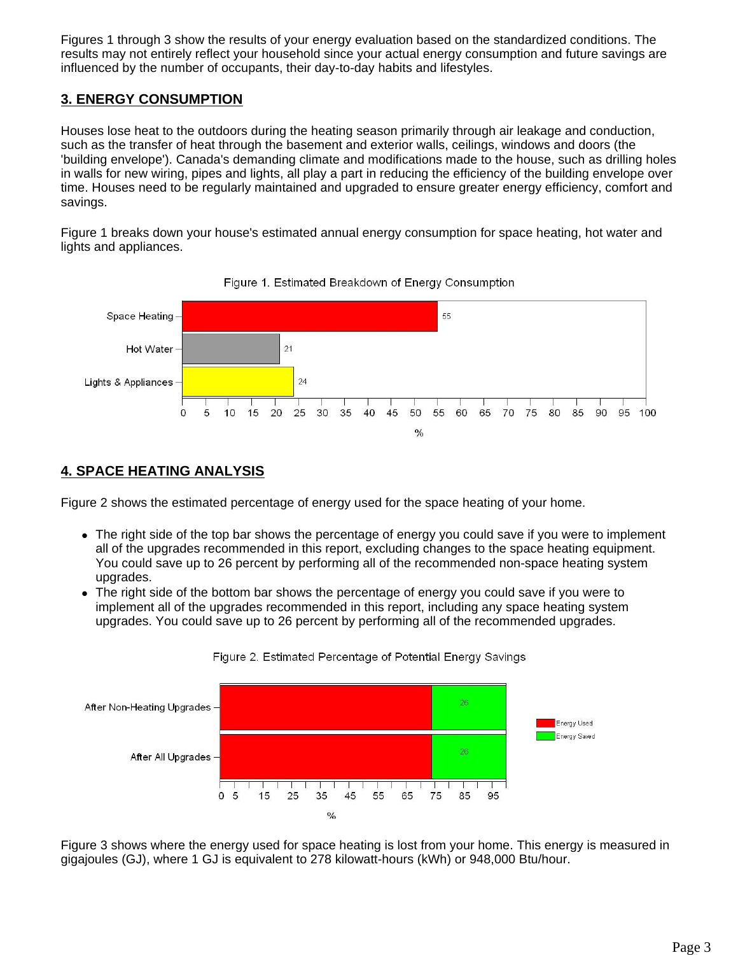Figures 1 through 3 show the results of your energy evaluation based on the standardized conditions. The results may not entirely reflect your household since your actual energy consumption and future savings are influenced by the number of occupants, their day-to-day habits and lifestyles.

# **3. ENERGY CONSUMPTION**

Houses lose heat to the outdoors during the heating season primarily through air leakage and conduction, such as the transfer of heat through the basement and exterior walls, ceilings, windows and doors (the 'building envelope'). Canada's demanding climate and modifications made to the house, such as drilling holes in walls for new wiring, pipes and lights, all play a part in reducing the efficiency of the building envelope over time. Houses need to be regularly maintained and upgraded to ensure greater energy efficiency, comfort and savings.

Figure 1 breaks down your house's estimated annual energy consumption for space heating, hot water and lights and appliances.





# **4. SPACE HEATING ANALYSIS**

Figure 2 shows the estimated percentage of energy used for the space heating of your home.

- The right side of the top bar shows the percentage of energy you could save if you were to implement all of the upgrades recommended in this report, excluding changes to the space heating equipment. You could save up to 26 percent by performing all of the recommended non-space heating system upgrades.
- The right side of the bottom bar shows the percentage of energy you could save if you were to implement all of the upgrades recommended in this report, including any space heating system upgrades. You could save up to 26 percent by performing all of the recommended upgrades.



Figure 2. Estimated Percentage of Potential Energy Savings

Figure 3 shows where the energy used for space heating is lost from your home. This energy is measured in gigajoules (GJ), where 1 GJ is equivalent to 278 kilowatt-hours (kWh) or 948,000 Btu/hour.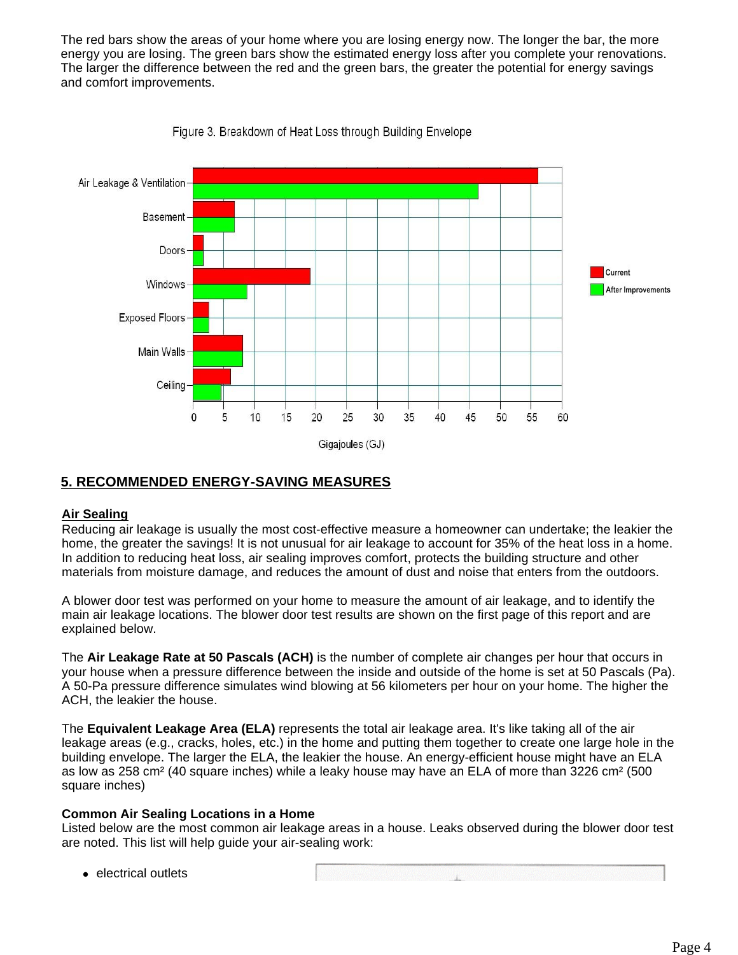The red bars show the areas of your home where you are losing energy now. The longer the bar, the more energy you are losing. The green bars show the estimated energy loss after you complete your renovations. The larger the difference between the red and the green bars, the greater the potential for energy savings and comfort improvements.



Figure 3. Breakdown of Heat Loss through Building Envelope

# **5. RECOMMENDED ENERGY-SAVING MEASURES**

# **Air Sealing**

Reducing air leakage is usually the most cost-effective measure a homeowner can undertake; the leakier the home, the greater the savings! It is not unusual for air leakage to account for 35% of the heat loss in a home. In addition to reducing heat loss, air sealing improves comfort, protects the building structure and other materials from moisture damage, and reduces the amount of dust and noise that enters from the outdoors.

A blower door test was performed on your home to measure the amount of air leakage, and to identify the main air leakage locations. The blower door test results are shown on the first page of this report and are explained below.

The **Air Leakage Rate at 50 Pascals (ACH)** is the number of complete air changes per hour that occurs in your house when a pressure difference between the inside and outside of the home is set at 50 Pascals (Pa). A 50-Pa pressure difference simulates wind blowing at 56 kilometers per hour on your home. The higher the ACH, the leakier the house.

The **Equivalent Leakage Area (ELA)** represents the total air leakage area. It's like taking all of the air leakage areas (e.g., cracks, holes, etc.) in the home and putting them together to create one large hole in the building envelope. The larger the ELA, the leakier the house. An energy-efficient house might have an ELA as low as 258 cm² (40 square inches) while a leaky house may have an ELA of more than 3226 cm² (500 square inches)

# **Common Air Sealing Locations in a Home**

Listed below are the most common air leakage areas in a house. Leaks observed during the blower door test are noted. This list will help guide your air-sealing work:

• electrical outlets

 $\mathbf{L}$  and  $\mathbf{L}$  and  $\mathbf{L}$  and  $\mathbf{L}$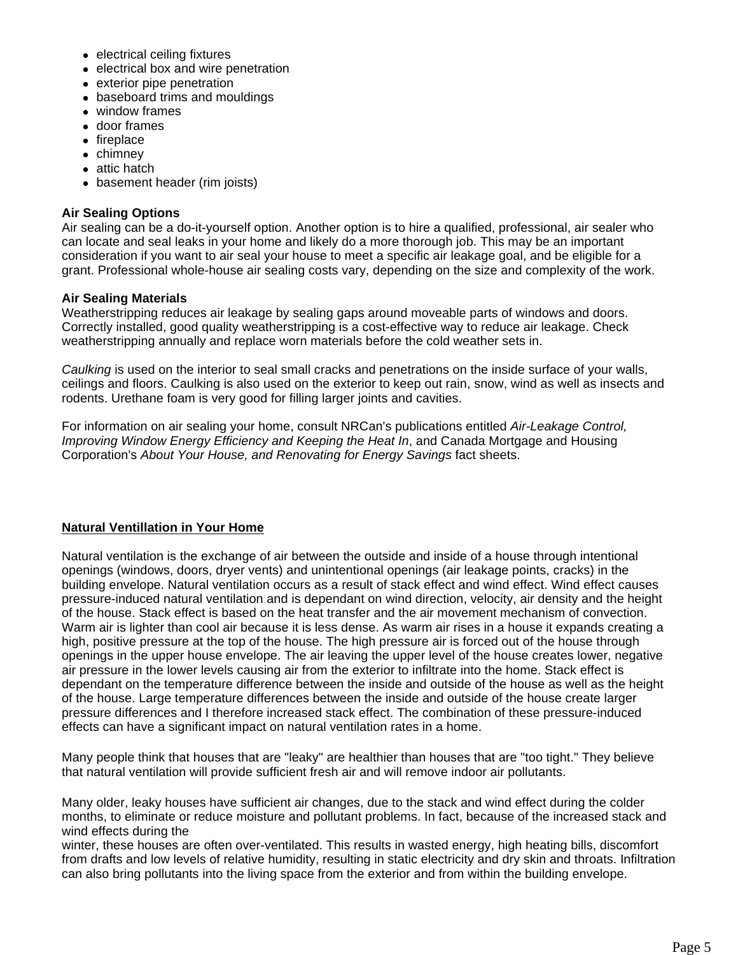- $\bullet$  electrical ceiling fixtures
- electrical box and wire penetration
- $\bullet$  exterior pipe penetration
- baseboard trims and mouldings
- $\bullet$  window frames
- door frames
- $\bullet$  fireplace
- $\bullet$  chimney
- $\bullet$  attic hatch
- basement header (rim joists)

### **Air Sealing Options**

Air sealing can be a do-it-yourself option. Another option is to hire a qualified, professional, air sealer who can locate and seal leaks in your home and likely do a more thorough job. This may be an important consideration if you want to air seal your house to meet a specific air leakage goal, and be eligible for a grant. Professional whole-house air sealing costs vary, depending on the size and complexity of the work.

# **Air Sealing Materials**

Weatherstripping reduces air leakage by sealing gaps around moveable parts of windows and doors. Correctly installed, good quality weatherstripping is a cost-effective way to reduce air leakage. Check weatherstripping annually and replace worn materials before the cold weather sets in.

*Caulking* is used on the interior to seal small cracks and penetrations on the inside surface of your walls, ceilings and floors. Caulking is also used on the exterior to keep out rain, snow, wind as well as insects and rodents. Urethane foam is very good for filling larger joints and cavities.

For information on air sealing your home, consult NRCan's publications entitled *Air-Leakage Control, Improving Window Energy Efficiency and Keeping the Heat In*, and Canada Mortgage and Housing Corporation's *About Your House, and Renovating for Energy Savings* fact sheets.

# **Natural Ventillation in Your Home**

Natural ventilation is the exchange of air between the outside and inside of a house through intentional openings (windows, doors, dryer vents) and unintentional openings (air leakage points, cracks) in the building envelope. Natural ventilation occurs as a result of stack effect and wind effect. Wind effect causes pressure-induced natural ventilation and is dependant on wind direction, velocity, air density and the height of the house. Stack effect is based on the heat transfer and the air movement mechanism of convection. Warm air is lighter than cool air because it is less dense. As warm air rises in a house it expands creating a high, positive pressure at the top of the house. The high pressure air is forced out of the house through openings in the upper house envelope. The air leaving the upper level of the house creates lower, negative air pressure in the lower levels causing air from the exterior to infiltrate into the home. Stack effect is dependant on the temperature difference between the inside and outside of the house as well as the height of the house. Large temperature differences between the inside and outside of the house create larger pressure differences and I therefore increased stack effect. The combination of these pressure-induced effects can have a significant impact on natural ventilation rates in a home.

Many people think that houses that are "leaky" are healthier than houses that are "too tight." They believe that natural ventilation will provide sufficient fresh air and will remove indoor air pollutants.

Many older, leaky houses have sufficient air changes, due to the stack and wind effect during the colder months, to eliminate or reduce moisture and pollutant problems. In fact, because of the increased stack and wind effects during the

winter, these houses are often over-ventilated. This results in wasted energy, high heating bills, discomfort from drafts and low levels of relative humidity, resulting in static electricity and dry skin and throats. Infiltration can also bring pollutants into the living space from the exterior and from within the building envelope.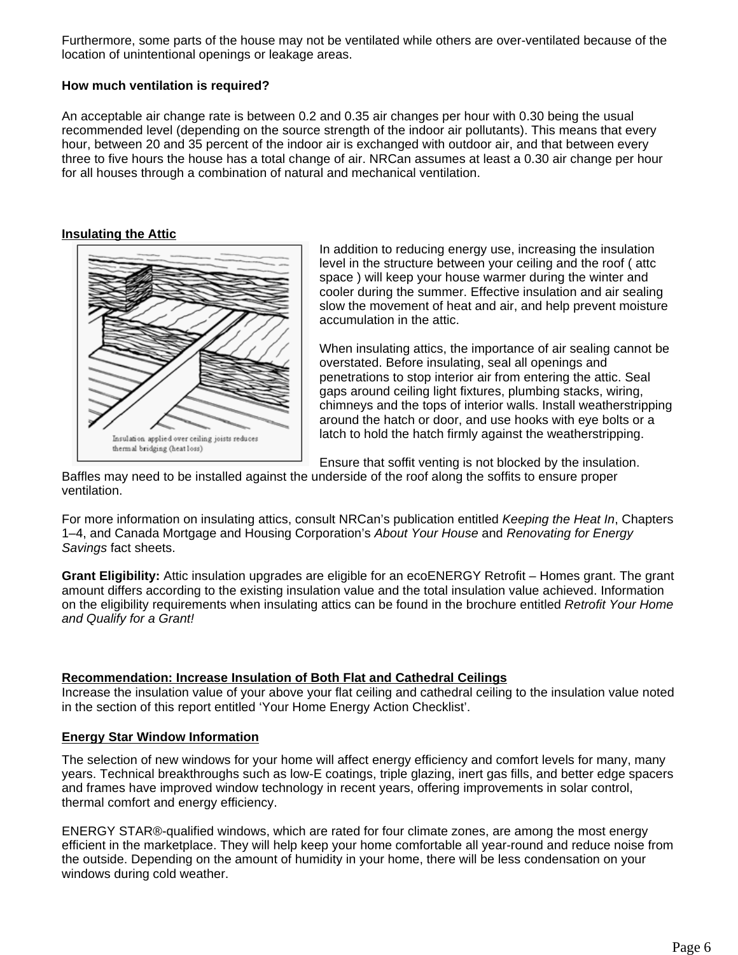Furthermore, some parts of the house may not be ventilated while others are over-ventilated because of the location of unintentional openings or leakage areas.

# **How much ventilation is required?**

An acceptable air change rate is between 0.2 and 0.35 air changes per hour with 0.30 being the usual recommended level (depending on the source strength of the indoor air pollutants). This means that every hour, between 20 and 35 percent of the indoor air is exchanged with outdoor air, and that between every three to five hours the house has a total change of air. NRCan assumes at least a 0.30 air change per hour for all houses through a combination of natural and mechanical ventilation.

### **Insulating the Attic**



In addition to reducing energy use, increasing the insulation level in the structure between your ceiling and the roof ( attc space ) will keep your house warmer during the winter and cooler during the summer. Effective insulation and air sealing slow the movement of heat and air, and help prevent moisture accumulation in the attic.

When insulating attics, the importance of air sealing cannot be overstated. Before insulating, seal all openings and penetrations to stop interior air from entering the attic. Seal gaps around ceiling light fixtures, plumbing stacks, wiring, chimneys and the tops of interior walls. Install weatherstripping around the hatch or door, and use hooks with eye bolts or a latch to hold the hatch firmly against the weatherstripping.

Ensure that soffit venting is not blocked by the insulation.

Baffles may need to be installed against the underside of the roof along the soffits to ensure proper ventilation.

For more information on insulating attics, consult NRCan's publication entitled *Keeping the Heat In*, Chapters 1–4, and Canada Mortgage and Housing Corporation's *About Your House* and *Renovating for Energy Savings* fact sheets.

**Grant Eligibility:** Attic insulation upgrades are eligible for an ecoENERGY Retrofit – Homes grant. The grant amount differs according to the existing insulation value and the total insulation value achieved. Information on the eligibility requirements when insulating attics can be found in the brochure entitled *Retrofit Your Home and Qualify for a Grant!*

# **Recommendation: Increase Insulation of Both Flat and Cathedral Ceilings**

Increase the insulation value of your above your flat ceiling and cathedral ceiling to the insulation value noted in the section of this report entitled 'Your Home Energy Action Checklist'.

# **Energy Star Window Information**

The selection of new windows for your home will affect energy efficiency and comfort levels for many, many years. Technical breakthroughs such as low-E coatings, triple glazing, inert gas fills, and better edge spacers and frames have improved window technology in recent years, offering improvements in solar control, thermal comfort and energy efficiency.

ENERGY STAR®-qualified windows, which are rated for four climate zones, are among the most energy efficient in the marketplace. They will help keep your home comfortable all year-round and reduce noise from the outside. Depending on the amount of humidity in your home, there will be less condensation on your windows during cold weather.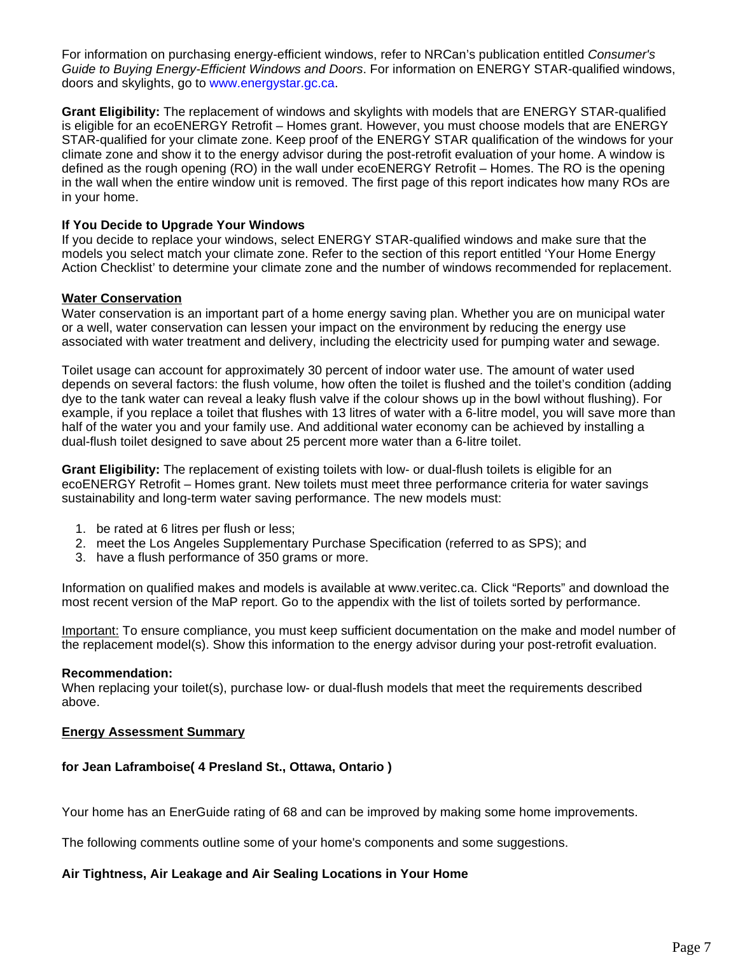For information on purchasing energy-efficient windows, refer to NRCan's publication entitled *Consumer's Guide to Buying Energy-Efficient Windows and Doors*. For information on ENERGY STAR-qualified windows, doors and skylights, go to www.energystar.gc.ca.

**Grant Eligibility:** The replacement of windows and skylights with models that are ENERGY STAR-qualified is eligible for an ecoENERGY Retrofit – Homes grant. However, you must choose models that are ENERGY STAR-qualified for your climate zone. Keep proof of the ENERGY STAR qualification of the windows for your climate zone and show it to the energy advisor during the post-retrofit evaluation of your home. A window is defined as the rough opening (RO) in the wall under ecoENERGY Retrofit – Homes. The RO is the opening in the wall when the entire window unit is removed. The first page of this report indicates how many ROs are in your home.

# **If You Decide to Upgrade Your Windows**

If you decide to replace your windows, select ENERGY STAR-qualified windows and make sure that the models you select match your climate zone. Refer to the section of this report entitled 'Your Home Energy Action Checklist' to determine your climate zone and the number of windows recommended for replacement.

# **Water Conservation**

Water conservation is an important part of a home energy saving plan. Whether you are on municipal water or a well, water conservation can lessen your impact on the environment by reducing the energy use associated with water treatment and delivery, including the electricity used for pumping water and sewage.

Toilet usage can account for approximately 30 percent of indoor water use. The amount of water used depends on several factors: the flush volume, how often the toilet is flushed and the toilet's condition (adding dye to the tank water can reveal a leaky flush valve if the colour shows up in the bowl without flushing). For example, if you replace a toilet that flushes with 13 litres of water with a 6-litre model, you will save more than half of the water you and your family use. And additional water economy can be achieved by installing a dual-flush toilet designed to save about 25 percent more water than a 6-litre toilet.

**Grant Eligibility:** The replacement of existing toilets with low- or dual-flush toilets is eligible for an ecoENERGY Retrofit – Homes grant. New toilets must meet three performance criteria for water savings sustainability and long-term water saving performance. The new models must:

- 1. be rated at 6 litres per flush or less;
- 2. meet the Los Angeles Supplementary Purchase Specification (referred to as SPS); and
- 3. have a flush performance of 350 grams or more.

Information on qualified makes and models is available at www.veritec.ca. Click "Reports" and download the most recent version of the MaP report. Go to the appendix with the list of toilets sorted by performance.

Important: To ensure compliance, you must keep sufficient documentation on the make and model number of the replacement model(s). Show this information to the energy advisor during your post-retrofit evaluation.

#### **Recommendation:**

When replacing your toilet(s), purchase low- or dual-flush models that meet the requirements described above.

#### **Energy Assessment Summary**

# **for Jean Laframboise( 4 Presland St., Ottawa, Ontario )**

Your home has an EnerGuide rating of 68 and can be improved by making some home improvements.

The following comments outline some of your home's components and some suggestions.

# **Air Tightness, Air Leakage and Air Sealing Locations in Your Home**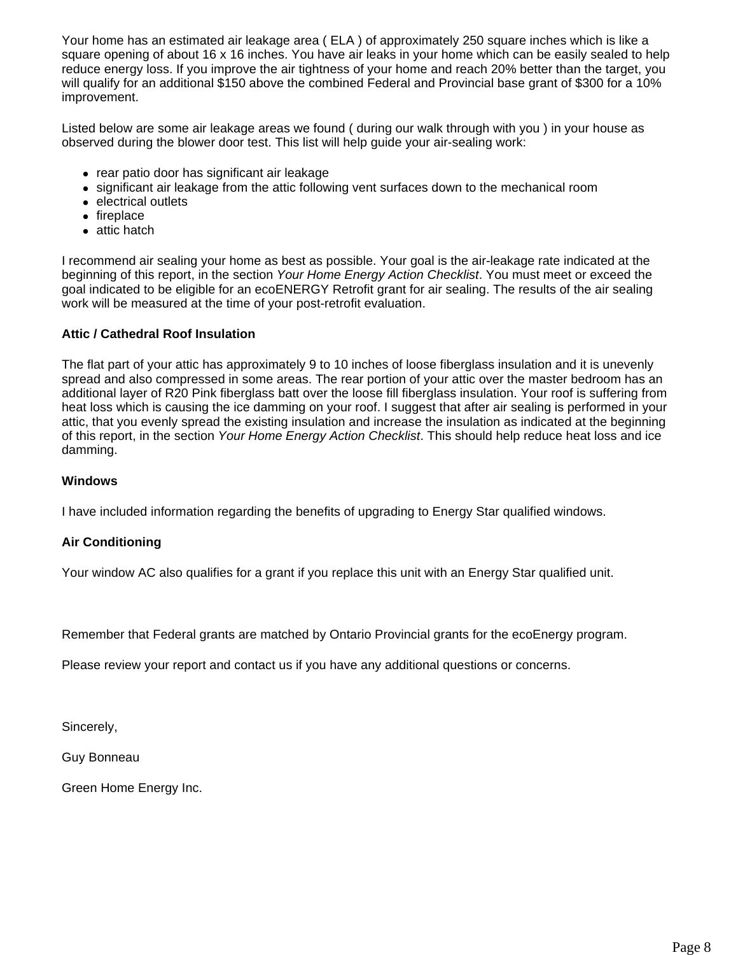Your home has an estimated air leakage area ( ELA ) of approximately 250 square inches which is like a square opening of about 16 x 16 inches. You have air leaks in your home which can be easily sealed to help reduce energy loss. If you improve the air tightness of your home and reach 20% better than the target, you will qualify for an additional \$150 above the combined Federal and Provincial base grant of \$300 for a 10% improvement.

Listed below are some air leakage areas we found ( during our walk through with you ) in your house as observed during the blower door test. This list will help guide your air-sealing work:

- rear patio door has significant air leakage
- significant air leakage from the attic following vent surfaces down to the mechanical room
- electrical outlets
- $\bullet$  fireplace
- $\bullet$  attic hatch

I recommend air sealing your home as best as possible. Your goal is the air-leakage rate indicated at the beginning of this report, in the section *Your Home Energy Action Checklist*. You must meet or exceed the goal indicated to be eligible for an ecoENERGY Retrofit grant for air sealing. The results of the air sealing work will be measured at the time of your post-retrofit evaluation.

# **Attic / Cathedral Roof Insulation**

The flat part of your attic has approximately 9 to 10 inches of loose fiberglass insulation and it is unevenly spread and also compressed in some areas. The rear portion of your attic over the master bedroom has an additional layer of R20 Pink fiberglass batt over the loose fill fiberglass insulation. Your roof is suffering from heat loss which is causing the ice damming on your roof. I suggest that after air sealing is performed in your attic, that you evenly spread the existing insulation and increase the insulation as indicated at the beginning of this report, in the section *Your Home Energy Action Checklist*. This should help reduce heat loss and ice damming.

### **Windows**

I have included information regarding the benefits of upgrading to Energy Star qualified windows.

# **Air Conditioning**

Your window AC also qualifies for a grant if you replace this unit with an Energy Star qualified unit.

Remember that Federal grants are matched by Ontario Provincial grants for the ecoEnergy program.

Please review your report and contact us if you have any additional questions or concerns.

Sincerely,

Guy Bonneau

Green Home Energy Inc.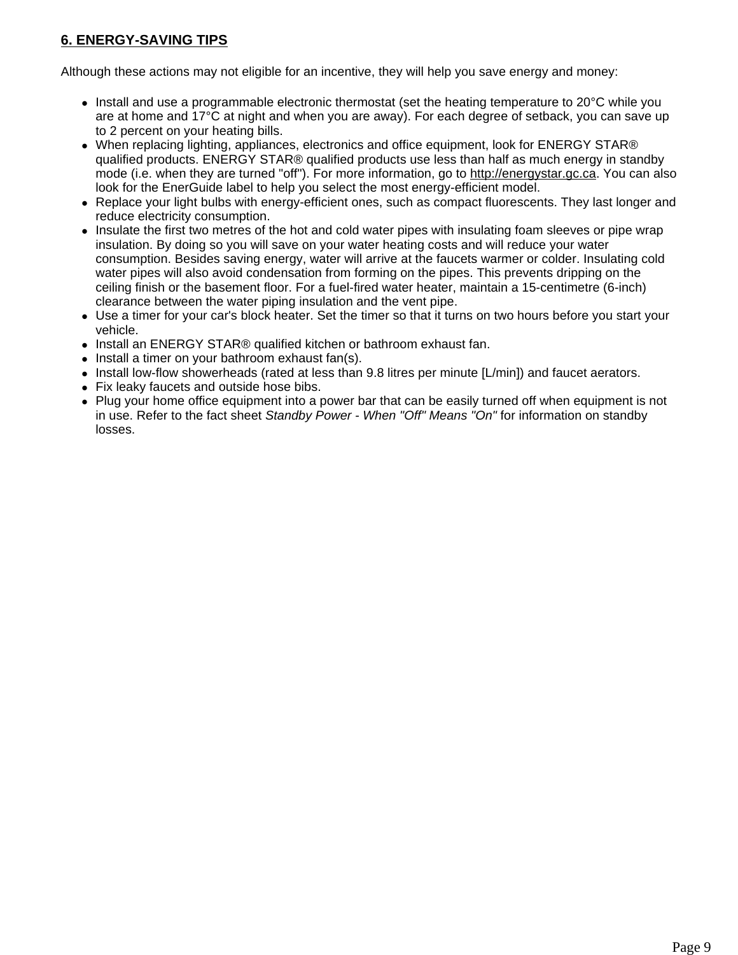# **6. ENERGY-SAVING TIPS**

Although these actions may not eligible for an incentive, they will help you save energy and money:

- $\bullet$  Install and use a programmable electronic thermostat (set the heating temperature to 20 $\degree$ C while you are at home and 17°C at night and when you are away). For each degree of setback, you can save up to 2 percent on your heating bills.
- When replacing lighting, appliances, electronics and office equipment, look for ENERGY STAR® qualified products. ENERGY STAR® qualified products use less than half as much energy in standby mode (i.e. when they are turned "off"). For more information, go to http://energystar.gc.ca. You can also look for the EnerGuide label to help you select the most energy-efficient model.
- Replace your light bulbs with energy-efficient ones, such as compact fluorescents. They last longer and reduce electricity consumption.
- Insulate the first two metres of the hot and cold water pipes with insulating foam sleeves or pipe wrap insulation. By doing so you will save on your water heating costs and will reduce your water consumption. Besides saving energy, water will arrive at the faucets warmer or colder. Insulating cold water pipes will also avoid condensation from forming on the pipes. This prevents dripping on the ceiling finish or the basement floor. For a fuel-fired water heater, maintain a 15-centimetre (6-inch) clearance between the water piping insulation and the vent pipe.
- Use a timer for your car's block heater. Set the timer so that it turns on two hours before you start your vehicle.
- Install an ENERGY STAR® qualified kitchen or bathroom exhaust fan.
- $\bullet$  Install a timer on your bathroom exhaust fan(s).
- $\bullet$  Install low-flow showerheads (rated at less than 9.8 litres per minute  $[L/min]$ ) and faucet aerators.
- Fix leaky faucets and outside hose bibs.
- Plug your home office equipment into a power bar that can be easily turned off when equipment is not in use. Refer to the fact sheet *Standby Power - When "Off" Means "On"* for information on standby losses.